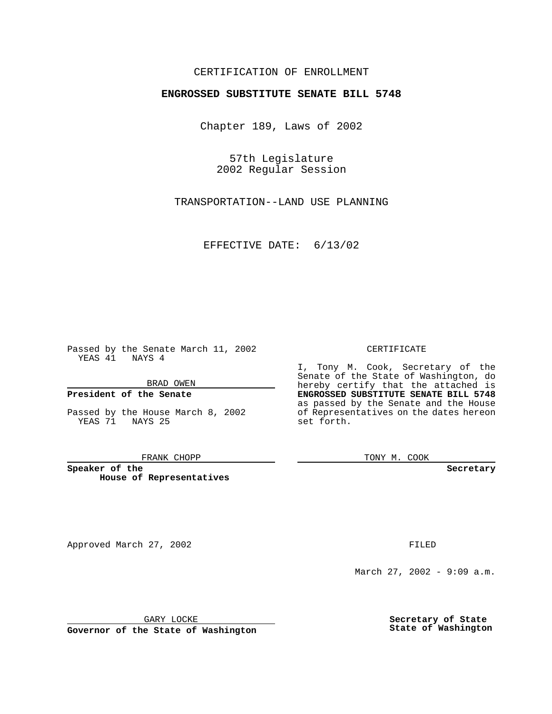## CERTIFICATION OF ENROLLMENT

# **ENGROSSED SUBSTITUTE SENATE BILL 5748**

Chapter 189, Laws of 2002

57th Legislature 2002 Regular Session

TRANSPORTATION--LAND USE PLANNING

EFFECTIVE DATE: 6/13/02

Passed by the Senate March 11, 2002 YEAS 41 NAYS 4

BRAD OWEN

### **President of the Senate**

Passed by the House March 8, 2002 YEAS 71 NAYS 25

#### FRANK CHOPP

**Speaker of the House of Representatives**

#### CERTIFICATE

I, Tony M. Cook, Secretary of the Senate of the State of Washington, do hereby certify that the attached is **ENGROSSED SUBSTITUTE SENATE BILL 5748** as passed by the Senate and the House of Representatives on the dates hereon set forth.

TONY M. COOK

**Secretary**

Approved March 27, 2002 **FILED** 

March 27, 2002 - 9:09 a.m.

GARY LOCKE

**Governor of the State of Washington**

**Secretary of State State of Washington**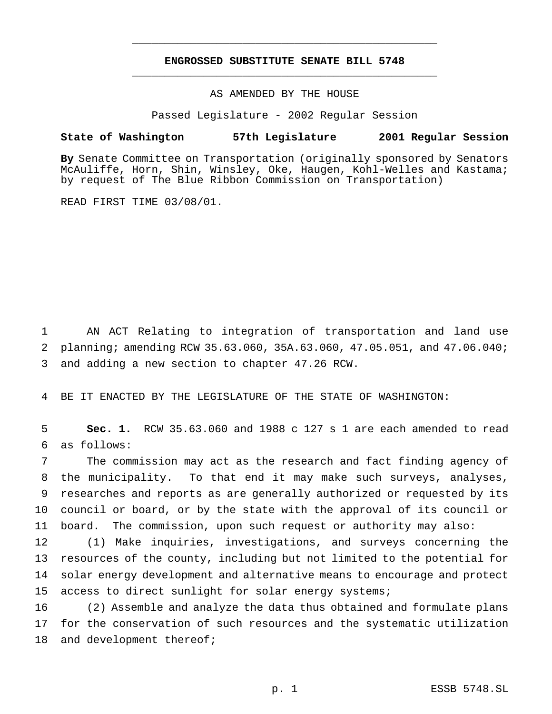## **ENGROSSED SUBSTITUTE SENATE BILL 5748** \_\_\_\_\_\_\_\_\_\_\_\_\_\_\_\_\_\_\_\_\_\_\_\_\_\_\_\_\_\_\_\_\_\_\_\_\_\_\_\_\_\_\_\_\_\_\_

\_\_\_\_\_\_\_\_\_\_\_\_\_\_\_\_\_\_\_\_\_\_\_\_\_\_\_\_\_\_\_\_\_\_\_\_\_\_\_\_\_\_\_\_\_\_\_

### AS AMENDED BY THE HOUSE

Passed Legislature - 2002 Regular Session

### **State of Washington 57th Legislature 2001 Regular Session**

**By** Senate Committee on Transportation (originally sponsored by Senators McAuliffe, Horn, Shin, Winsley, Oke, Haugen, Kohl-Welles and Kastama; by request of The Blue Ribbon Commission on Transportation)

READ FIRST TIME 03/08/01.

1 AN ACT Relating to integration of transportation and land use 2 planning; amending RCW 35.63.060, 35A.63.060, 47.05.051, and 47.06.040; 3 and adding a new section to chapter 47.26 RCW.

4 BE IT ENACTED BY THE LEGISLATURE OF THE STATE OF WASHINGTON:

5 **Sec. 1.** RCW 35.63.060 and 1988 c 127 s 1 are each amended to read 6 as follows:

 The commission may act as the research and fact finding agency of the municipality. To that end it may make such surveys, analyses, researches and reports as are generally authorized or requested by its council or board, or by the state with the approval of its council or board. The commission, upon such request or authority may also:

 (1) Make inquiries, investigations, and surveys concerning the resources of the county, including but not limited to the potential for solar energy development and alternative means to encourage and protect 15 access to direct sunlight for solar energy systems;

16 (2) Assemble and analyze the data thus obtained and formulate plans 17 for the conservation of such resources and the systematic utilization 18 and development thereof;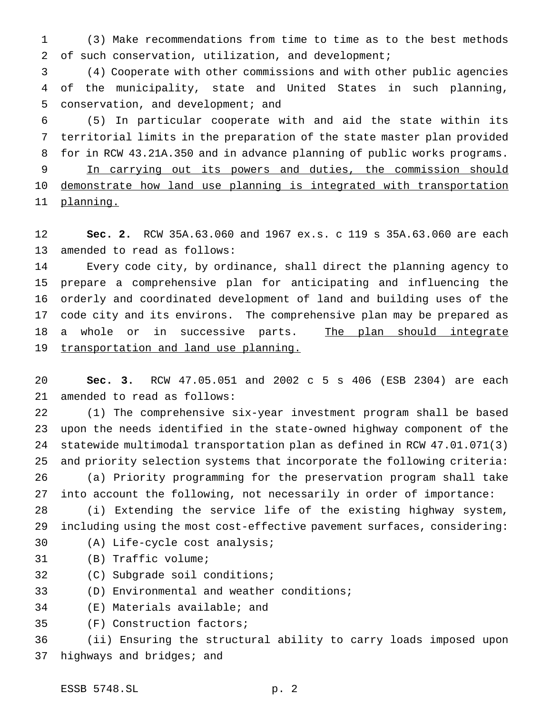(3) Make recommendations from time to time as to the best methods of such conservation, utilization, and development;

 (4) Cooperate with other commissions and with other public agencies of the municipality, state and United States in such planning, conservation, and development; and

 (5) In particular cooperate with and aid the state within its territorial limits in the preparation of the state master plan provided for in RCW 43.21A.350 and in advance planning of public works programs. In carrying out its powers and duties, the commission should 10 demonstrate how land use planning is integrated with transportation 11 planning.

 **Sec. 2.** RCW 35A.63.060 and 1967 ex.s. c 119 s 35A.63.060 are each amended to read as follows:

 Every code city, by ordinance, shall direct the planning agency to prepare a comprehensive plan for anticipating and influencing the orderly and coordinated development of land and building uses of the code city and its environs. The comprehensive plan may be prepared as 18 a whole or in successive parts. The plan should integrate 19 transportation and land use planning.

 **Sec. 3.** RCW 47.05.051 and 2002 c 5 s 406 (ESB 2304) are each amended to read as follows:

 (1) The comprehensive six-year investment program shall be based upon the needs identified in the state-owned highway component of the statewide multimodal transportation plan as defined in RCW 47.01.071(3) and priority selection systems that incorporate the following criteria: (a) Priority programming for the preservation program shall take

into account the following, not necessarily in order of importance:

 (i) Extending the service life of the existing highway system, including using the most cost-effective pavement surfaces, considering: (A) Life-cycle cost analysis;

- (B) Traffic volume;
- (C) Subgrade soil conditions;

(D) Environmental and weather conditions;

(E) Materials available; and

(F) Construction factors;

 (ii) Ensuring the structural ability to carry loads imposed upon 37 highways and bridges; and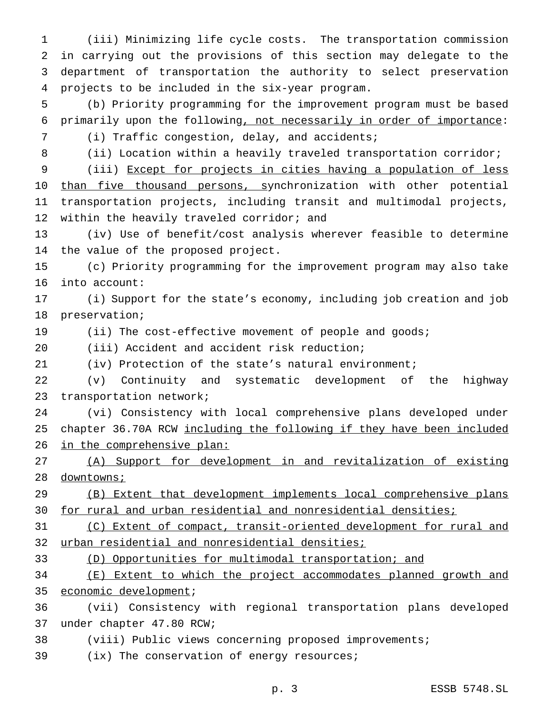(iii) Minimizing life cycle costs. The transportation commission in carrying out the provisions of this section may delegate to the department of transportation the authority to select preservation projects to be included in the six-year program. (b) Priority programming for the improvement program must be based primarily upon the following, not necessarily in order of importance: (i) Traffic congestion, delay, and accidents; (ii) Location within a heavily traveled transportation corridor; (iii) Except for projects in cities having a population of less 10 than five thousand persons, synchronization with other potential transportation projects, including transit and multimodal projects, 12 within the heavily traveled corridor; and (iv) Use of benefit/cost analysis wherever feasible to determine the value of the proposed project. (c) Priority programming for the improvement program may also take into account: (i) Support for the state's economy, including job creation and job preservation; 19 (ii) The cost-effective movement of people and goods; (iii) Accident and accident risk reduction; (iv) Protection of the state's natural environment; (v) Continuity and systematic development of the highway transportation network; (vi) Consistency with local comprehensive plans developed under chapter 36.70A RCW including the following if they have been included 26 in the comprehensive plan: (A) Support for development in and revitalization of existing downtowns; (B) Extent that development implements local comprehensive plans for rural and urban residential and nonresidential densities; 31 (C) Extent of compact, transit-oriented development for rural and 32 urban residential and nonresidential densities; (D) Opportunities for multimodal transportation; and (E) Extent to which the project accommodates planned growth and economic development; (vii) Consistency with regional transportation plans developed under chapter 47.80 RCW; (viii) Public views concerning proposed improvements; 39 (ix) The conservation of energy resources;

p. 3 ESSB 5748.SL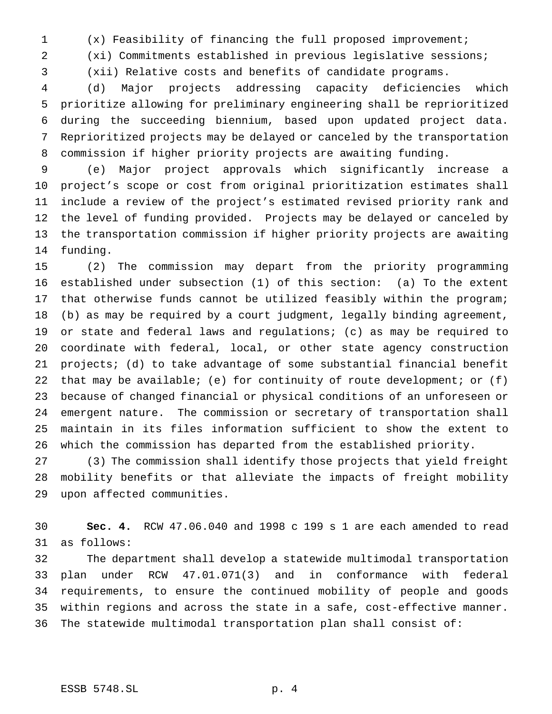(x) Feasibility of financing the full proposed improvement;

(xi) Commitments established in previous legislative sessions;

(xii) Relative costs and benefits of candidate programs.

 (d) Major projects addressing capacity deficiencies which prioritize allowing for preliminary engineering shall be reprioritized during the succeeding biennium, based upon updated project data. Reprioritized projects may be delayed or canceled by the transportation commission if higher priority projects are awaiting funding.

 (e) Major project approvals which significantly increase a project's scope or cost from original prioritization estimates shall include a review of the project's estimated revised priority rank and the level of funding provided. Projects may be delayed or canceled by the transportation commission if higher priority projects are awaiting funding.

 (2) The commission may depart from the priority programming established under subsection (1) of this section: (a) To the extent that otherwise funds cannot be utilized feasibly within the program; (b) as may be required by a court judgment, legally binding agreement, or state and federal laws and regulations; (c) as may be required to coordinate with federal, local, or other state agency construction projects; (d) to take advantage of some substantial financial benefit that may be available; (e) for continuity of route development; or (f) because of changed financial or physical conditions of an unforeseen or emergent nature. The commission or secretary of transportation shall maintain in its files information sufficient to show the extent to which the commission has departed from the established priority.

 (3) The commission shall identify those projects that yield freight mobility benefits or that alleviate the impacts of freight mobility upon affected communities.

 **Sec. 4.** RCW 47.06.040 and 1998 c 199 s 1 are each amended to read as follows:

 The department shall develop a statewide multimodal transportation plan under RCW 47.01.071(3) and in conformance with federal requirements, to ensure the continued mobility of people and goods within regions and across the state in a safe, cost-effective manner. The statewide multimodal transportation plan shall consist of: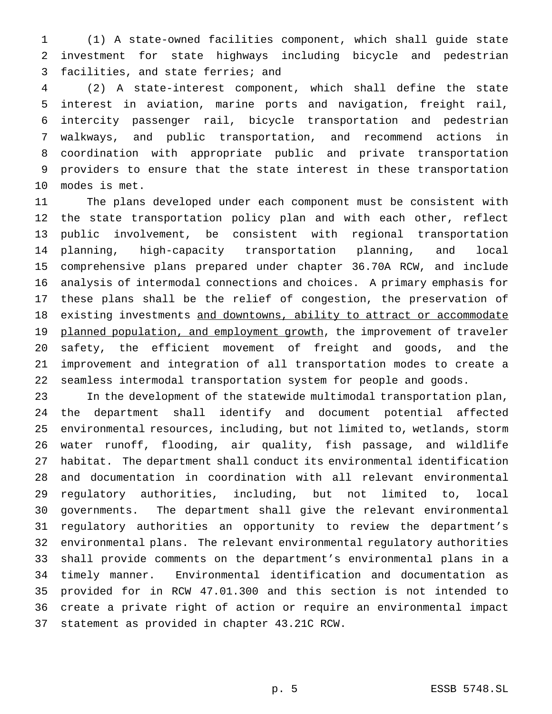(1) A state-owned facilities component, which shall guide state investment for state highways including bicycle and pedestrian facilities, and state ferries; and

 (2) A state-interest component, which shall define the state interest in aviation, marine ports and navigation, freight rail, intercity passenger rail, bicycle transportation and pedestrian walkways, and public transportation, and recommend actions in coordination with appropriate public and private transportation providers to ensure that the state interest in these transportation modes is met.

 The plans developed under each component must be consistent with the state transportation policy plan and with each other, reflect public involvement, be consistent with regional transportation planning, high-capacity transportation planning, and local comprehensive plans prepared under chapter 36.70A RCW, and include analysis of intermodal connections and choices. A primary emphasis for these plans shall be the relief of congestion, the preservation of 18 existing investments and downtowns, ability to attract or accommodate 19 planned population, and employment growth, the improvement of traveler safety, the efficient movement of freight and goods, and the improvement and integration of all transportation modes to create a seamless intermodal transportation system for people and goods.

 In the development of the statewide multimodal transportation plan, the department shall identify and document potential affected environmental resources, including, but not limited to, wetlands, storm water runoff, flooding, air quality, fish passage, and wildlife habitat. The department shall conduct its environmental identification and documentation in coordination with all relevant environmental regulatory authorities, including, but not limited to, local governments. The department shall give the relevant environmental regulatory authorities an opportunity to review the department's environmental plans. The relevant environmental regulatory authorities shall provide comments on the department's environmental plans in a timely manner. Environmental identification and documentation as provided for in RCW 47.01.300 and this section is not intended to create a private right of action or require an environmental impact statement as provided in chapter 43.21C RCW.